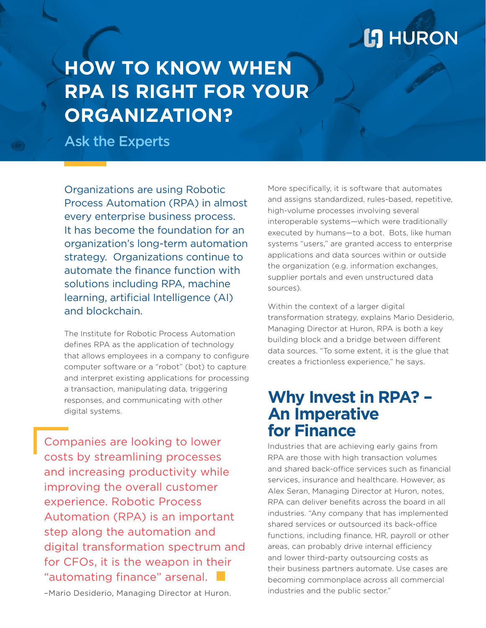# **L'I** HURON

# **HOW TO KNOW WHEN RPA IS RIGHT FOR YOUR ORGANIZATION?**

Ask the Experts

Organizations are using Robotic Process Automation (RPA) in almost every enterprise business process. It has become the foundation for an organization's long-term automation strategy. Organizations continue to automate the finance function with solutions including RPA, machine learning, artificial Intelligence (AI) and blockchain.

The Institute for Robotic Process Automation defines RPA as the application of technology that allows employees in a company to configure computer software or a "robot" (bot) to capture and interpret existing applications for processing a transaction, manipulating data, triggering responses, and communicating with other digital systems.

Companies are looking to lower costs by streamlining processes and increasing productivity while improving the overall customer experience. Robotic Process Automation (RPA) is an important step along the automation and digital transformation spectrum and for CFOs, it is the weapon in their "automating finance" arsenal.

–Mario Desiderio, Managing Director at Huron.

More specifically, it is software that automates and assigns standardized, rules-based, repetitive, high-volume processes involving several interoperable systems—which were traditionally executed by humans—to a bot. Bots, like human systems "users," are granted access to enterprise applications and data sources within or outside the organization (e.g. information exchanges, supplier portals and even unstructured data sources).

Within the context of a larger digital transformation strategy, explains Mario Desiderio, Managing Director at Huron, RPA is both a key building block and a bridge between different data sources. "To some extent, it is the glue that creates a frictionless experience," he says.

### **Why Invest in RPA? – An Imperative for Finance**

Industries that are achieving early gains from RPA are those with high transaction volumes and shared back-office services such as financial services, insurance and healthcare. However, as Alex Seran, Managing Director at Huron, notes, RPA can deliver benefits across the board in all industries. "Any company that has implemented shared services or outsourced its back-office functions, including finance, HR, payroll or other areas, can probably drive internal efficiency and lower third-party outsourcing costs as their business partners automate. Use cases are becoming commonplace across all commercial industries and the public sector."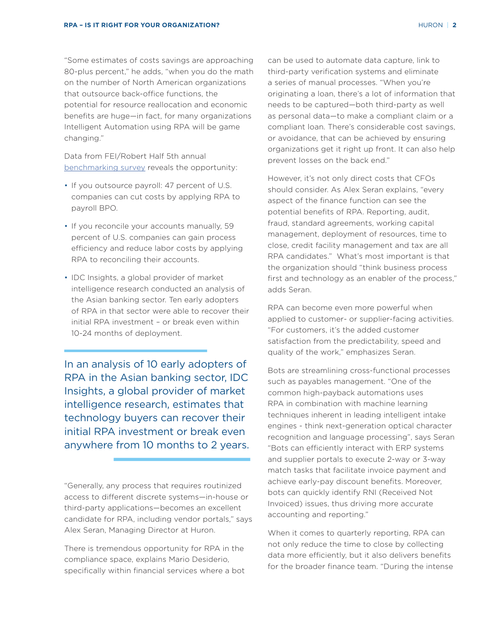"Some estimates of costs savings are approaching 80-plus percent," he adds, "when you do the math on the number of North American organizations that outsource back-office functions, the potential for resource reallocation and economic benefits are huge—in fact, for many organizations Intelligent Automation using RPA will be game changing."

Data from FEI/Robert Half 5th annual benchmarking survey reveals the opportunity:

- If you outsource payroll: 47 percent of U.S. companies can cut costs by applying RPA to payroll BPO.
- If you reconcile your accounts manually, 59 percent of U.S. companies can gain process efficiency and reduce labor costs by applying RPA to reconciling their accounts.
- IDC Insights, a global provider of market intelligence research conducted an analysis of the Asian banking sector. Ten early adopters of RPA in that sector were able to recover their initial RPA investment – or break even within 10-24 months of deployment.

In an analysis of 10 early adopters of RPA in the Asian banking sector, IDC Insights, a global provider of market intelligence research, estimates that technology buyers can recover their initial RPA investment or break even anywhere from 10 months to 2 years.

"Generally, any process that requires routinized access to different discrete systems—in-house or third-party applications—becomes an excellent candidate for RPA, including vendor portals," says Alex Seran, Managing Director at Huron.

There is tremendous opportunity for RPA in the compliance space, explains Mario Desiderio, specifically within financial services where a bot can be used to automate data capture, link to third-party verification systems and eliminate a series of manual processes. "When you're originating a loan, there's a lot of information that needs to be captured—both third-party as well as personal data—to make a compliant claim or a compliant loan. There's considerable cost savings, or avoidance, that can be achieved by ensuring organizations get it right up front. It can also help prevent losses on the back end."

However, it's not only direct costs that CFOs should consider. As Alex Seran explains, "every aspect of the finance function can see the potential benefits of RPA. Reporting, audit, fraud, standard agreements, working capital management, deployment of resources, time to close, credit facility management and tax are all RPA candidates." What's most important is that the organization should "think business process first and technology as an enabler of the process," adds Seran.

RPA can become even more powerful when applied to customer- or supplier-facing activities. "For customers, it's the added customer satisfaction from the predictability, speed and quality of the work," emphasizes Seran.

Bots are streamlining cross-functional processes such as payables management. "One of the common high-payback automations uses RPA in combination with machine learning techniques inherent in leading intelligent intake engines - think next-generation optical character recognition and language processing", says Seran "Bots can efficiently interact with ERP systems and supplier portals to execute 2-way or 3-way match tasks that facilitate invoice payment and achieve early-pay discount benefits. Moreover, bots can quickly identify RNI (Received Not Invoiced) issues, thus driving more accurate accounting and reporting."

When it comes to quarterly reporting, RPA can not only reduce the time to close by collecting data more efficiently, but it also delivers benefits for the broader finance team. "During the intense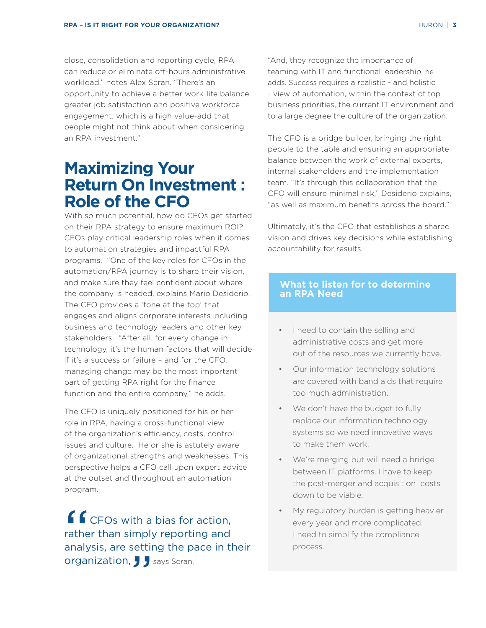close, consolidation and reporting cycle, RPA can reduce or eliminate off-hours administrative workload." notes Alex Seran. "There's an opportunity to achieve a better work-life balance, greater job satisfaction and positive workforce engagement, which is a high value-add that people might not think about when considering an RPA investment."

## **Maximizing Your Return On Investment : Role of the CFO**

With so much potential, how do CFOs get started on their RPA strategy to ensure maximum ROI? CFOs play critical leadership roles when it comes to automation strategies and impactful RPA programs. "One of the key roles for CFOs in the automation/RPA journey is to share their vision, and make sure they feel confident about where the company is headed, explains Mario Desiderio. The CFO provides a 'tone at the top' that engages and aligns corporate interests including business and technology leaders and other key stakeholders. "After all, for every change in technology, it's the human factors that will decide if it's a success or failure – and for the CFO, managing change may be the most important part of getting RPA right for the finance function and the entire company," he adds.

The CFO is uniquely positioned for his or her role in RPA, having a cross-functional view of the organization's efficiency, costs, control issues and culture. He or she is astutely aware of organizational strengths and weaknesses. This perspective helps a CFO call upon expert advice at the outset and throughout an automation program.

 $\left($ CFOs with a bias for action, rather than simply reporting and analysis, are setting the pace in their organization, J J says Seran.

"And, they recognize the importance of teaming with IT and functional leadership, he adds. Success requires a realistic - and holistic - view of automation, within the context of top business priorities, the current IT environment and to a large degree the culture of the organization.

The CFO is a bridge builder, bringing the right people to the table and ensuring an appropriate balance between the work of external experts, internal stakeholders and the implementation team. "It's through this collaboration that the CFO will ensure minimal risk," Desiderio explains, "as well as maximum benefits across the board."

Ultimately, it's the CFO that establishes a shared vision and drives key decisions while establishing accountability for results.

#### **What to listen for to determine an RPA Need**

- I need to contain the selling and administrative costs and get more out of the resources we currently have.
- Our information technology solutions are covered with band aids that require too much administration.
- We don't have the budget to fully replace our information technology systems so we need innovative ways to make them work.
- We're merging but will need a bridge between IT platforms. I have to keep the post-merger and acquisition costs down to be viable.
- My regulatory burden is getting heavier every year and more complicated. I need to simplify the compliance process.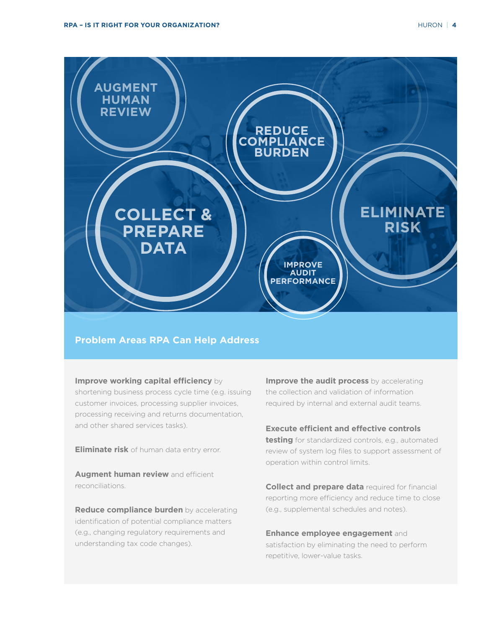



#### **Problem Areas RPA Can Help Address**

**Improve working capital efficiency** by shortening business process cycle time (e.g. issuing customer invoices, processing supplier invoices, processing receiving and returns documentation, and other shared services tasks).

**Eliminate risk** of human data entry error.

**Augment human review** and efficient reconciliations.

**Reduce compliance burden** by accelerating identification of potential compliance matters (e.g., changing regulatory requirements and understanding tax code changes).

**Improve the audit process** by accelerating the collection and validation of information required by internal and external audit teams.

#### **Execute efficient and effective controls**

**testing** for standardized controls, e.g., automated review of system log files to support assessment of operation within control limits.

**Collect and prepare data** required for financial reporting more efficiency and reduce time to close (e.g., supplemental schedules and notes).

**Enhance employee engagement** and satisfaction by eliminating the need to perform repetitive, lower-value tasks.